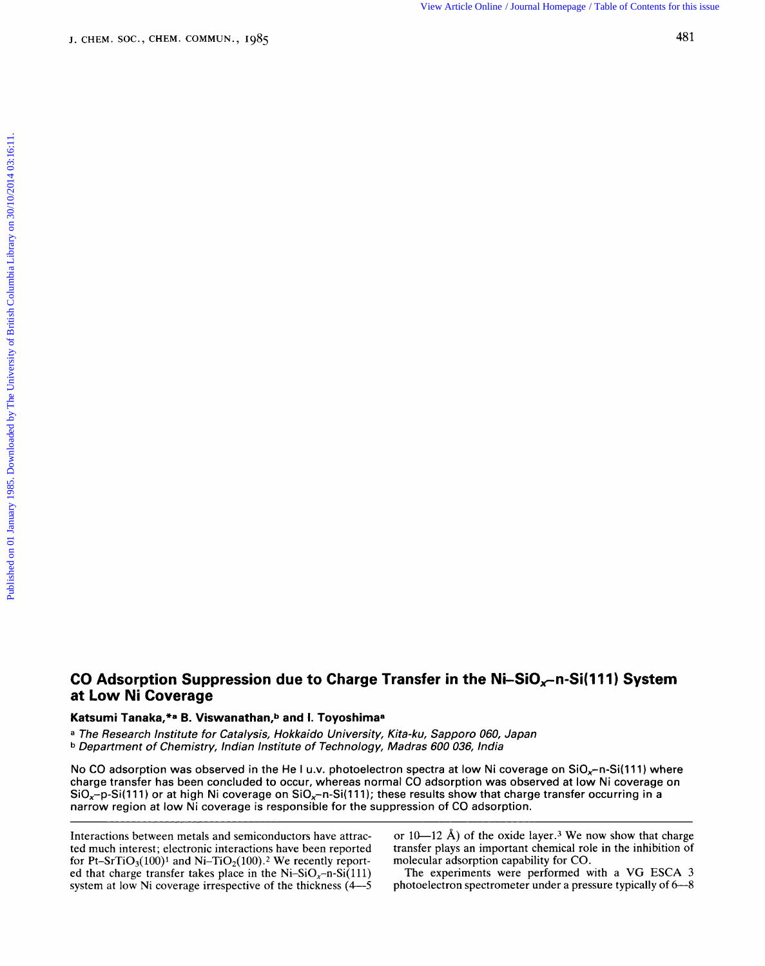View Article Online / Journal Homepage / Table of Contents for this issue

## **CO Adsorption Suppression due to Charge Transfer in the Ni-SiO<sub>x</sub>-n-Si(111) System at Low Ni Coverage abis Pronciption Supprocessor and to Strange Transfer in the VIPSR 199, 11 SIVIPT, Systemment CIOV<br><b>a The Research Institute for Catalysis, Hokkaido University, Kita-ku, Sapporo 060, Japan<br><sup>a</sup> The Research Institute for Ni-SiO<sub>x</sub>-n-Si(111) System<br><sup>60, Japan<br><sup>ndia</sup><br>Ni coverage on SiO<sub>x</sub>-n-Si(111) where**</sup>

## **Katsumi Tanaka,\*a B. Viswanathan,b and I. Toyoshimaa**

**b** Department of Chemistry, Indian Institute of Technology, Madras 600 036, India

No CO adsorption was observed in the He I u.v. photoelectron spectra at low l charge transfer has been concluded to occur, whereas normal CO adsorption was observed at low Ni coverage on  $SiO_x-p-Si(111)$  or at high Ni coverage on  $SiO_x-n-Si(111)$ ; these results show that charge transfer occurring in a narrow region at low **Ni** coverage is responsible for the suppression of CO adsorption.

Interactions between metals and semiconductors have attracted much interest; electronic interactions have been reported for Pt-SrTiO<sub>3</sub>(100)<sup>1</sup> and Ni-TiO<sub>2</sub>(100).<sup>2</sup> We recently reported that charge transfer takes place in the Ni-SiO<sub>x</sub>-n-Si(111) system at low Ni coverage irrespective of the thickness (4-5 or  $10-12$  Å) of the oxide layer.<sup>3</sup> We now show that charge transfer plays an important chemical role in the inhibition **of**  molecular adsorption capability for CO.

The experiments were performed with a **VG ESCA 3**  photoelectron spectrometer under a pressure typically of **6-8**